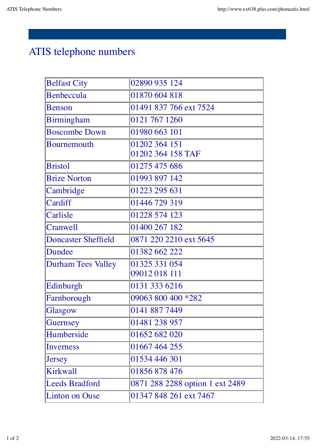## ATIS telephone numbers

| <b>Belfast City</b>        | 02890 935 124                   |
|----------------------------|---------------------------------|
| Benbeccula                 | 01870 604 818                   |
| <b>Benson</b>              | 01491 837 766 ext 7524          |
| <b>Birmingham</b>          | 0121 767 1260                   |
| <b>Boscombe Down</b>       | 01980 663 101                   |
| <b>Bournemouth</b>         | 01202 364 151                   |
|                            | 01202 364 158 TAF               |
| <b>Bristol</b>             | 01275 475 686                   |
| <b>Brize Norton</b>        | 01993 897 142                   |
| Cambridge                  | 01223 295 631                   |
| Cardiff                    | 01446 729 319                   |
| Carlisle                   | 01228 574 123                   |
| <b>Cranwell</b>            | 01400 267 182                   |
| <b>Doncaster Sheffield</b> | 0871 220 2210 ext 5645          |
| Dundee                     | 01382 662 222                   |
| <b>Durham Tees Valley</b>  | 01325 331 054                   |
|                            | 09012 018 111                   |
| Edinburgh                  | 0131 333 6216                   |
| Farnborough                | 09063 800 400 *282              |
| Glasgow                    | 0141 887 7449                   |
| Guernsey                   | 01481 238 957                   |
| Humberside                 | 01652 682 020                   |
| Inverness                  | 01667 464 255                   |
| <b>Jersey</b>              | 01534 446 301                   |
| <b>Kirkwall</b>            | 01856 878 476                   |
| <b>Leeds Bradford</b>      | 0871 288 2288 option 1 ext 2489 |
| <b>Linton on Ouse</b>      | 01347 848 261 ext 7467          |